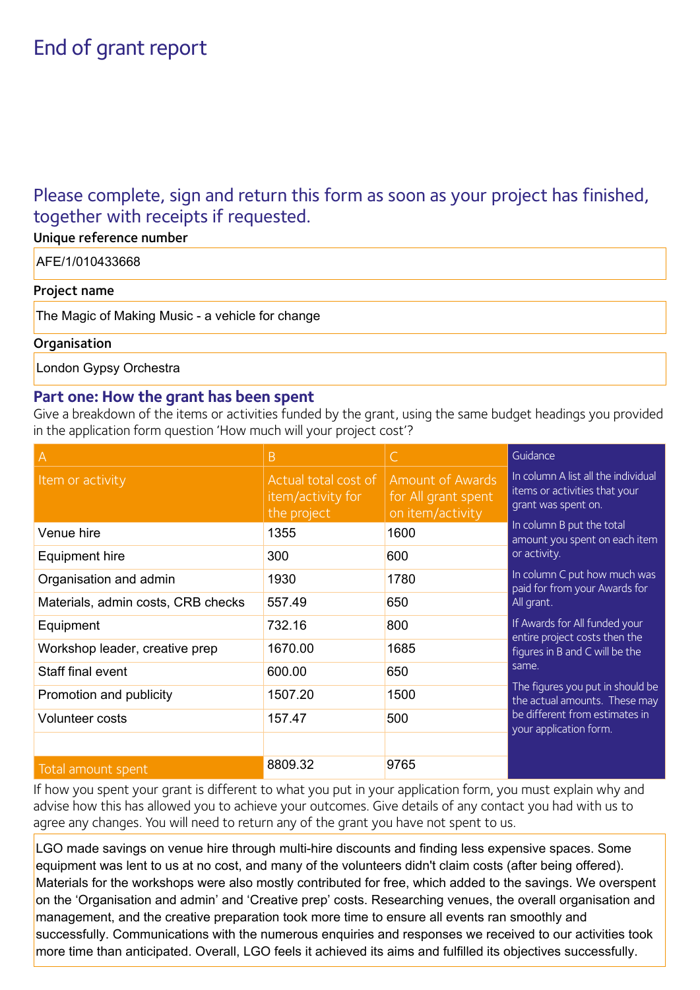# End of grant report

## Please complete, sign and return this form as soon as your project has finished, together with receipts if requested.

| Unique reference number                          |
|--------------------------------------------------|
| AFE/1/010433668                                  |
| Project name                                     |
| The Magic of Making Music - a vehicle for change |
| Organisation                                     |

London Gypsy Orchestra

#### **Part one: How the grant has been spent**

Give a breakdown of the items or activities funded by the grant, using the same budget headings you provided in the application form question 'How much will your project cost'?

| A                                  | Β                                                        |                                                                    | Guidance                                                                                                                                                                                                                                   |
|------------------------------------|----------------------------------------------------------|--------------------------------------------------------------------|--------------------------------------------------------------------------------------------------------------------------------------------------------------------------------------------------------------------------------------------|
| Item or activity                   | Actual total cost of<br>item/activity for<br>the project | <b>Amount of Awards</b><br>for All grant spent<br>on item/activity | In column A list all the individual<br>items or activities that your<br>grant was spent on.                                                                                                                                                |
| Venue hire                         | 1355                                                     | 1600                                                               | In column B put the total<br>amount you spent on each item<br>or activity.<br>In column C put how much was<br>paid for from your Awards for<br>All grant.                                                                                  |
| Equipment hire                     | 300                                                      | 600                                                                |                                                                                                                                                                                                                                            |
| Organisation and admin             | 1930                                                     | 1780                                                               |                                                                                                                                                                                                                                            |
| Materials, admin costs, CRB checks | 557.49                                                   | 650                                                                |                                                                                                                                                                                                                                            |
| Equipment                          | 732.16                                                   | 800                                                                | If Awards for All funded your<br>entire project costs then the<br>figures in B and C will be the<br>same.<br>The figures you put in should be<br>the actual amounts. These may<br>be different from estimates in<br>your application form. |
| Workshop leader, creative prep     | 1670.00                                                  | 1685                                                               |                                                                                                                                                                                                                                            |
| Staff final event                  | 600.00                                                   | 650                                                                |                                                                                                                                                                                                                                            |
| Promotion and publicity            | 1507.20                                                  | 1500                                                               |                                                                                                                                                                                                                                            |
| Volunteer costs                    | 157.47                                                   | 500                                                                |                                                                                                                                                                                                                                            |
|                                    |                                                          |                                                                    |                                                                                                                                                                                                                                            |
| Total amount spent                 | 8809.32                                                  | 9765                                                               |                                                                                                                                                                                                                                            |

If how you spent your grant is different to what you put in your application form, you must explain why and advise how this has allowed you to achieve your outcomes. Give details of any contact you had with us to agree any changes. You will need to return any of the grant you have not spent to us.

LGO made savings on venue hire through multi-hire discounts and finding less expensive spaces. Some equipment was lent to us at no cost, and many of the volunteers didn't claim costs (after being offered). Materials for the workshops were also mostly contributed for free, which added to the savings. We overspent on the 'Organisation and admin' and 'Creative prep' costs. Researching venues, the overall organisation and management, and the creative preparation took more time to ensure all events ran smoothly and successfully. Communications with the numerous enquiries and responses we received to our activities took more time than anticipated. Overall, LGO feels it achieved its aims and fulfilled its objectives successfully.